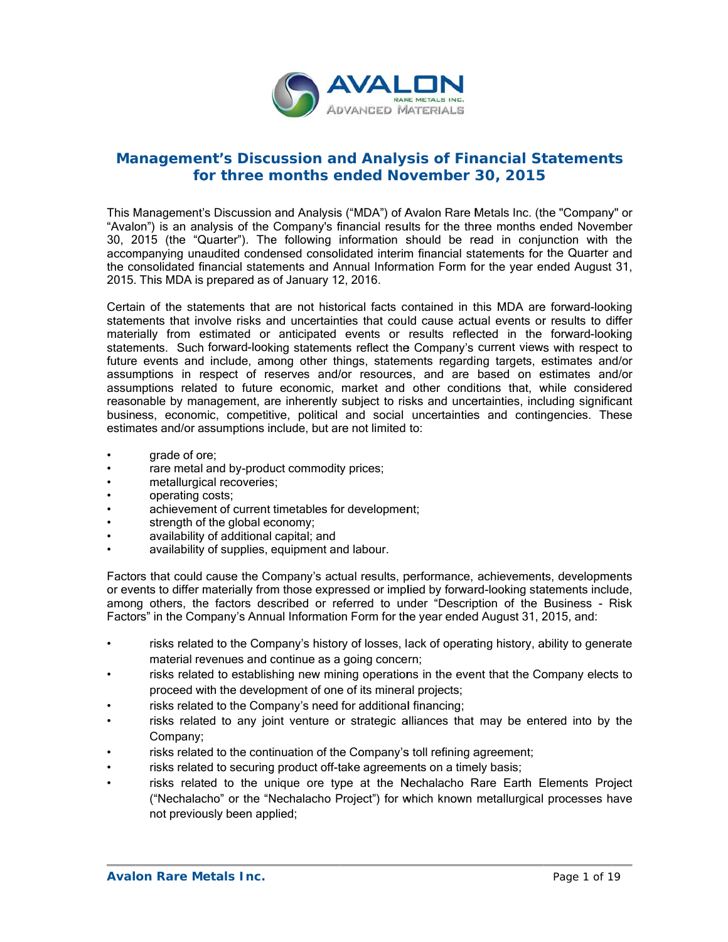

## **Management's Discussion and Analysis of Financial Statements** for three months ended November 30, 2015

This Management's Discussion and Analysis ("MDA") of Avalon Rare Metals Inc. (the "Company" or "Avalon") is an analysis of the Company's financial results for the three months ended November 30, 2 2015 (the "Q Quarter"). The e following information s should be re ead in conju unction with the accompanying unaudited condensed consolidated interim financial statements for the Quarter and the consolidated financial statements and Annual Information Form for the year ended August 31, 2015. This MDA is prepared as of January 12, 2016.

Certain of the statements that are not historical facts contained in this MDA are forward-looking statements that involve risks and uncertainties that could cause actual events or results to differ materially from estimated or anticipated events or results reflected in the forward-looking statements. Such forward-looking statements reflect the Company's current views with respect to future events and include, among other things, statements regarding targets, estimates and/or assumptions in respect of reserves and/or resources, and are based on estimates and/or assumptions related to future economic, market and other conditions that, while considered reasonable by management, are inherently subject to risks and uncertainties, including significant business, economic, competitive, political and social uncertainties and contingencies. These estimates and/or assumptions include, but are not limited to:

- grade of or re;
- rare metal and by-product commodity prices;
- metallurgical recoveries;
- operating c costs;
- achievement of current timetables for development;
- strength of the global economy;
- availability of additional capital; and
- availability of supplies, equipment and labour.

Factors that could cause the Company's actual results, performance, achievements, developments or events to differ materially from those expressed or implied by forward-looking statements include, among others, the factors described or referred to under "Description of the Business - Risk Factors" in the Company's Annual Information Form for the year ended August 31, 2015, and:

- risks related to the Company's history of losses, lack of operating history, ability to generate material revenues and continue as a going concern;
- risks related to establishing new mining operations in the event that the Company elects to proceed with the development of one of its mineral projects;
- risks related to the Company's need for additional financing;
- risks related to any joint venture or strategic alliances that may be entered into by the Company;
- risks related to the continuation of the Company's toll refining agreement;
- risks related to securing product off-take agreements on a timely basis;
- risks related to the unique ore type at the Nechalacho Rare Earth Elements Project ("Nechalacho" or the "Nechalacho Project") for which known metallurgical processes have not previously been applied;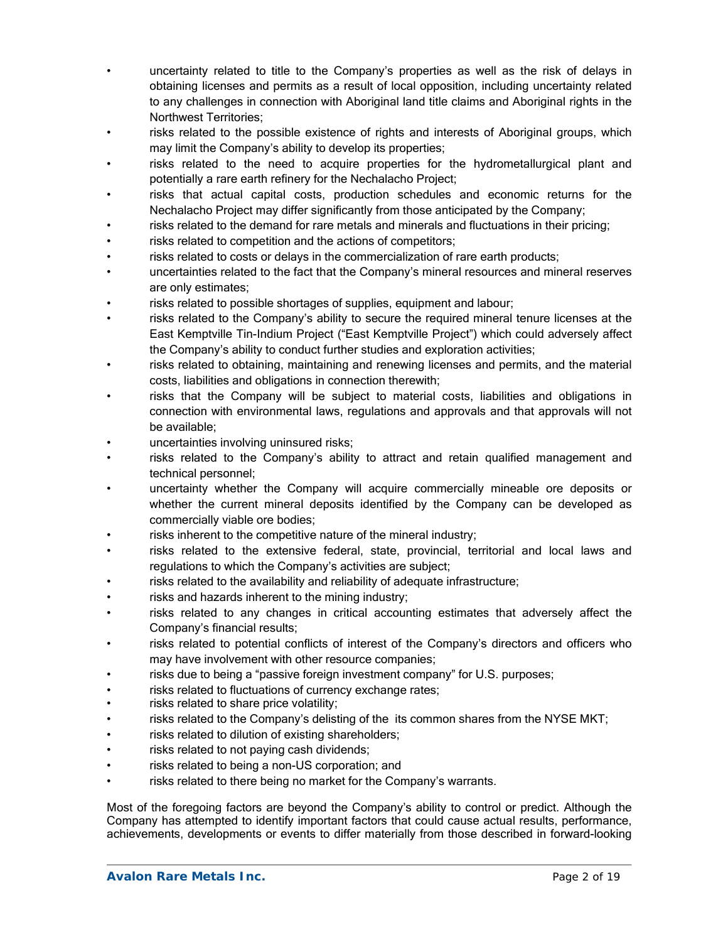- uncertainty related to title to the Company's properties as well as the risk of delays in obtaining licenses and permits as a result of local opposition, including uncertainty related to any challenges in connection with Aboriginal land title claims and Aboriginal rights in the Northwest Territories;
- risks related to the possible existence of rights and interests of Aboriginal groups, which may limit the Company's ability to develop its properties;
- risks related to the need to acquire properties for the hydrometallurgical plant and potentially a rare earth refinery for the Nechalacho Project;
- risks that actual capital costs, production schedules and economic returns for the Nechalacho Project may differ significantly from those anticipated by the Company;
- risks related to the demand for rare metals and minerals and fluctuations in their pricing;
- risks related to competition and the actions of competitors;
- risks related to costs or delays in the commercialization of rare earth products;
- uncertainties related to the fact that the Company's mineral resources and mineral reserves are only estimates;
- risks related to possible shortages of supplies, equipment and labour;
- risks related to the Company's ability to secure the required mineral tenure licenses at the East Kemptville Tin-Indium Project ("East Kemptville Project") which could adversely affect the Company's ability to conduct further studies and exploration activities;
- risks related to obtaining, maintaining and renewing licenses and permits, and the material costs, liabilities and obligations in connection therewith;
- risks that the Company will be subject to material costs, liabilities and obligations in connection with environmental laws, regulations and approvals and that approvals will not be available;
- uncertainties involving uninsured risks;
- risks related to the Company's ability to attract and retain qualified management and technical personnel;
- uncertainty whether the Company will acquire commercially mineable ore deposits or whether the current mineral deposits identified by the Company can be developed as commercially viable ore bodies;
- risks inherent to the competitive nature of the mineral industry;
- risks related to the extensive federal, state, provincial, territorial and local laws and regulations to which the Company's activities are subject;
- risks related to the availability and reliability of adequate infrastructure;
- risks and hazards inherent to the mining industry;
- risks related to any changes in critical accounting estimates that adversely affect the Company's financial results;
- risks related to potential conflicts of interest of the Company's directors and officers who may have involvement with other resource companies;
- risks due to being a "passive foreign investment company" for U.S. purposes;
- risks related to fluctuations of currency exchange rates;
- risks related to share price volatility;
- risks related to the Company's delisting of the its common shares from the NYSE MKT;
- risks related to dilution of existing shareholders;
- risks related to not paying cash dividends;
- risks related to being a non-US corporation; and
- risks related to there being no market for the Company's warrants.

Most of the foregoing factors are beyond the Company's ability to control or predict. Although the Company has attempted to identify important factors that could cause actual results, performance, achievements, developments or events to differ materially from those described in forward-looking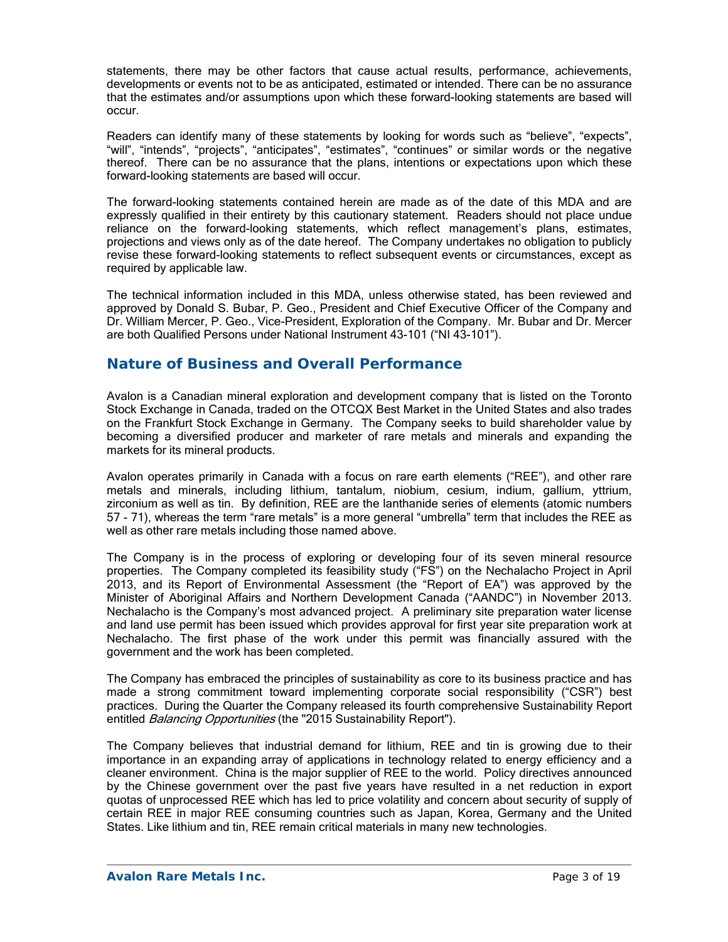statements, there may be other factors that cause actual results, performance, achievements, developments or events not to be as anticipated, estimated or intended. There can be no assurance that the estimates and/or assumptions upon which these forward-looking statements are based will occur.

Readers can identify many of these statements by looking for words such as "believe", "expects", "will", "intends", "projects", "anticipates", "estimates", "continues" or similar words or the negative thereof. There can be no assurance that the plans, intentions or expectations upon which these forward-looking statements are based will occur.

The forward-looking statements contained herein are made as of the date of this MDA and are expressly qualified in their entirety by this cautionary statement. Readers should not place undue reliance on the forward-looking statements, which reflect management's plans, estimates, projections and views only as of the date hereof. The Company undertakes no obligation to publicly revise these forward-looking statements to reflect subsequent events or circumstances, except as required by applicable law.

The technical information included in this MDA, unless otherwise stated, has been reviewed and approved by Donald S. Bubar, P. Geo., President and Chief Executive Officer of the Company and Dr. William Mercer, P. Geo., Vice-President, Exploration of the Company. Mr. Bubar and Dr. Mercer are both Qualified Persons under National Instrument 43-101 ("NI 43-101").

## **Nature of Business and Overall Performance**

Avalon is a Canadian mineral exploration and development company that is listed on the Toronto Stock Exchange in Canada, traded on the OTCQX Best Market in the United States and also trades on the Frankfurt Stock Exchange in Germany. The Company seeks to build shareholder value by becoming a diversified producer and marketer of rare metals and minerals and expanding the markets for its mineral products.

Avalon operates primarily in Canada with a focus on rare earth elements ("REE"), and other rare metals and minerals, including lithium, tantalum, niobium, cesium, indium, gallium, yttrium, zirconium as well as tin. By definition, REE are the lanthanide series of elements (atomic numbers 57 - 71), whereas the term "rare metals" is a more general "umbrella" term that includes the REE as well as other rare metals including those named above.

The Company is in the process of exploring or developing four of its seven mineral resource properties. The Company completed its feasibility study ("FS") on the Nechalacho Project in April 2013, and its Report of Environmental Assessment (the "Report of EA") was approved by the Minister of Aboriginal Affairs and Northern Development Canada ("AANDC") in November 2013. Nechalacho is the Company's most advanced project. A preliminary site preparation water license and land use permit has been issued which provides approval for first year site preparation work at Nechalacho. The first phase of the work under this permit was financially assured with the government and the work has been completed.

The Company has embraced the principles of sustainability as core to its business practice and has made a strong commitment toward implementing corporate social responsibility ("CSR") best practices. During the Quarter the Company released its fourth comprehensive Sustainability Report entitled Balancing Opportunities (the "2015 Sustainability Report").

The Company believes that industrial demand for lithium, REE and tin is growing due to their importance in an expanding array of applications in technology related to energy efficiency and a cleaner environment. China is the major supplier of REE to the world. Policy directives announced by the Chinese government over the past five years have resulted in a net reduction in export quotas of unprocessed REE which has led to price volatility and concern about security of supply of certain REE in major REE consuming countries such as Japan, Korea, Germany and the United States. Like lithium and tin, REE remain critical materials in many new technologies.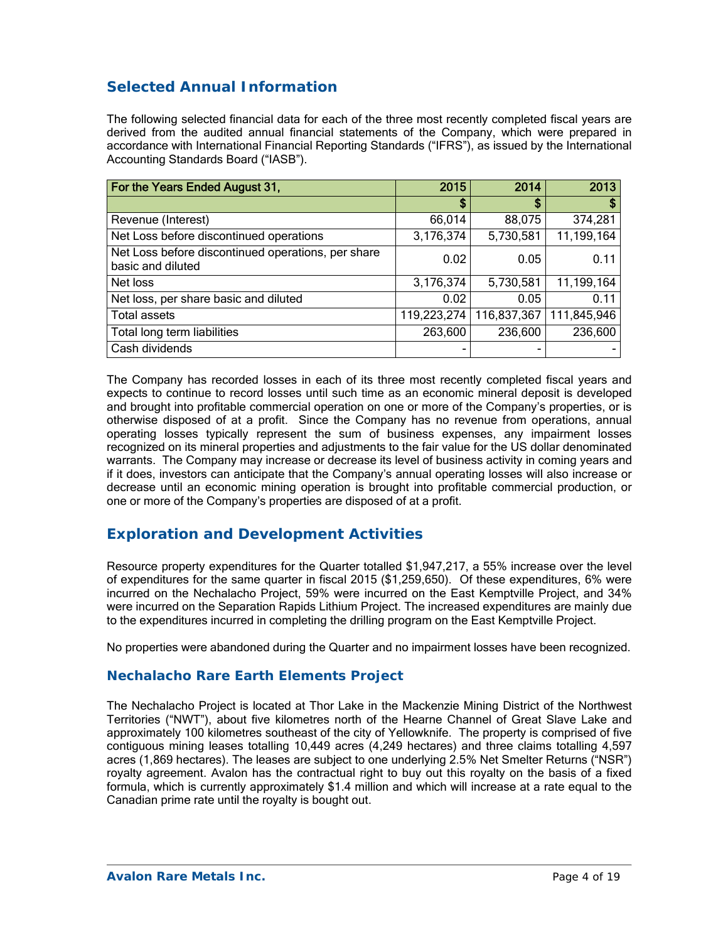# **Selected Annual Information**

The following selected financial data for each of the three most recently completed fiscal years are derived from the audited annual financial statements of the Company, which were prepared in accordance with International Financial Reporting Standards ("IFRS"), as issued by the International Accounting Standards Board ("IASB").

| For the Years Ended August 31,                                          | 2015        | 2014        | 2013        |
|-------------------------------------------------------------------------|-------------|-------------|-------------|
|                                                                         | \$          | S           | S           |
| Revenue (Interest)                                                      | 66,014      | 88,075      | 374,281     |
| Net Loss before discontinued operations                                 | 3,176,374   | 5,730,581   | 11,199,164  |
| Net Loss before discontinued operations, per share<br>basic and diluted | 0.02        | 0.05        | 0.11        |
| Net loss                                                                | 3,176,374   | 5,730,581   | 11,199,164  |
| Net loss, per share basic and diluted                                   | 0.02        | 0.05        | 0.11        |
| <b>Total assets</b>                                                     | 119,223,274 | 116,837,367 | 111,845,946 |
| Total long term liabilities                                             | 263,600     | 236,600     | 236,600     |
| Cash dividends                                                          | -           |             |             |

The Company has recorded losses in each of its three most recently completed fiscal years and expects to continue to record losses until such time as an economic mineral deposit is developed and brought into profitable commercial operation on one or more of the Company's properties, or is otherwise disposed of at a profit. Since the Company has no revenue from operations, annual operating losses typically represent the sum of business expenses, any impairment losses recognized on its mineral properties and adjustments to the fair value for the US dollar denominated warrants. The Company may increase or decrease its level of business activity in coming years and if it does, investors can anticipate that the Company's annual operating losses will also increase or decrease until an economic mining operation is brought into profitable commercial production, or one or more of the Company's properties are disposed of at a profit.

# **Exploration and Development Activities**

Resource property expenditures for the Quarter totalled \$1,947,217, a 55% increase over the level of expenditures for the same quarter in fiscal 2015 (\$1,259,650). Of these expenditures, 6% were incurred on the Nechalacho Project, 59% were incurred on the East Kemptville Project, and 34% were incurred on the Separation Rapids Lithium Project. The increased expenditures are mainly due to the expenditures incurred in completing the drilling program on the East Kemptville Project.

No properties were abandoned during the Quarter and no impairment losses have been recognized.

## **Nechalacho Rare Earth Elements Project**

The Nechalacho Project is located at Thor Lake in the Mackenzie Mining District of the Northwest Territories ("NWT"), about five kilometres north of the Hearne Channel of Great Slave Lake and approximately 100 kilometres southeast of the city of Yellowknife. The property is comprised of five contiguous mining leases totalling 10,449 acres (4,249 hectares) and three claims totalling 4,597 acres (1,869 hectares). The leases are subject to one underlying 2.5% Net Smelter Returns ("NSR") royalty agreement. Avalon has the contractual right to buy out this royalty on the basis of a fixed formula, which is currently approximately \$1.4 million and which will increase at a rate equal to the Canadian prime rate until the royalty is bought out.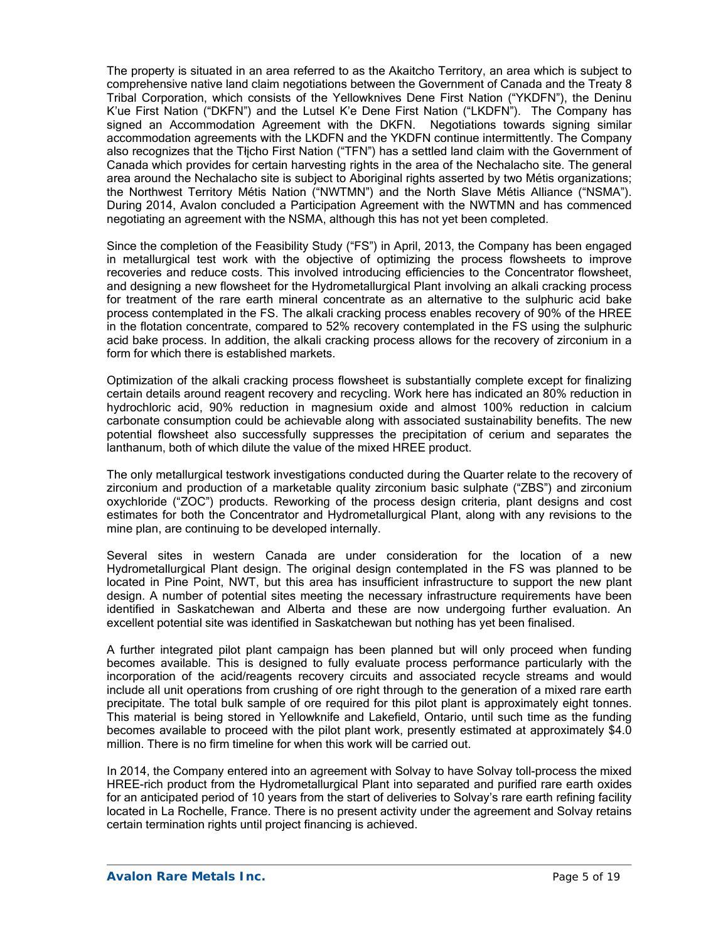The property is situated in an area referred to as the Akaitcho Territory, an area which is subject to comprehensive native land claim negotiations between the Government of Canada and the Treaty 8 Tribal Corporation, which consists of the Yellowknives Dene First Nation ("YKDFN"), the Deninu K'ue First Nation ("DKFN") and the Lutsel K'e Dene First Nation ("LKDFN"). The Company has signed an Accommodation Agreement with the DKFN. Negotiations towards signing similar accommodation agreements with the LKDFN and the YKDFN continue intermittently. The Company also recognizes that the Tłįcho First Nation ("TFN") has a settled land claim with the Government of Canada which provides for certain harvesting rights in the area of the Nechalacho site. The general area around the Nechalacho site is subject to Aboriginal rights asserted by two Métis organizations; the Northwest Territory Métis Nation ("NWTMN") and the North Slave Métis Alliance ("NSMA"). During 2014, Avalon concluded a Participation Agreement with the NWTMN and has commenced negotiating an agreement with the NSMA, although this has not yet been completed.

Since the completion of the Feasibility Study ("FS") in April, 2013, the Company has been engaged in metallurgical test work with the objective of optimizing the process flowsheets to improve recoveries and reduce costs. This involved introducing efficiencies to the Concentrator flowsheet, and designing a new flowsheet for the Hydrometallurgical Plant involving an alkali cracking process for treatment of the rare earth mineral concentrate as an alternative to the sulphuric acid bake process contemplated in the FS. The alkali cracking process enables recovery of 90% of the HREE in the flotation concentrate, compared to 52% recovery contemplated in the FS using the sulphuric acid bake process. In addition, the alkali cracking process allows for the recovery of zirconium in a form for which there is established markets.

Optimization of the alkali cracking process flowsheet is substantially complete except for finalizing certain details around reagent recovery and recycling. Work here has indicated an 80% reduction in hydrochloric acid, 90% reduction in magnesium oxide and almost 100% reduction in calcium carbonate consumption could be achievable along with associated sustainability benefits. The new potential flowsheet also successfully suppresses the precipitation of cerium and separates the lanthanum, both of which dilute the value of the mixed HREE product.

The only metallurgical testwork investigations conducted during the Quarter relate to the recovery of zirconium and production of a marketable quality zirconium basic sulphate ("ZBS") and zirconium oxychloride ("ZOC") products. Reworking of the process design criteria, plant designs and cost estimates for both the Concentrator and Hydrometallurgical Plant, along with any revisions to the mine plan, are continuing to be developed internally.

Several sites in western Canada are under consideration for the location of a new Hydrometallurgical Plant design. The original design contemplated in the FS was planned to be located in Pine Point, NWT, but this area has insufficient infrastructure to support the new plant design. A number of potential sites meeting the necessary infrastructure requirements have been identified in Saskatchewan and Alberta and these are now undergoing further evaluation. An excellent potential site was identified in Saskatchewan but nothing has yet been finalised.

A further integrated pilot plant campaign has been planned but will only proceed when funding becomes available. This is designed to fully evaluate process performance particularly with the incorporation of the acid/reagents recovery circuits and associated recycle streams and would include all unit operations from crushing of ore right through to the generation of a mixed rare earth precipitate. The total bulk sample of ore required for this pilot plant is approximately eight tonnes. This material is being stored in Yellowknife and Lakefield, Ontario, until such time as the funding becomes available to proceed with the pilot plant work, presently estimated at approximately \$4.0 million. There is no firm timeline for when this work will be carried out.

In 2014, the Company entered into an agreement with Solvay to have Solvay toll-process the mixed HREE-rich product from the Hydrometallurgical Plant into separated and purified rare earth oxides for an anticipated period of 10 years from the start of deliveries to Solvay's rare earth refining facility located in La Rochelle, France. There is no present activity under the agreement and Solvay retains certain termination rights until project financing is achieved.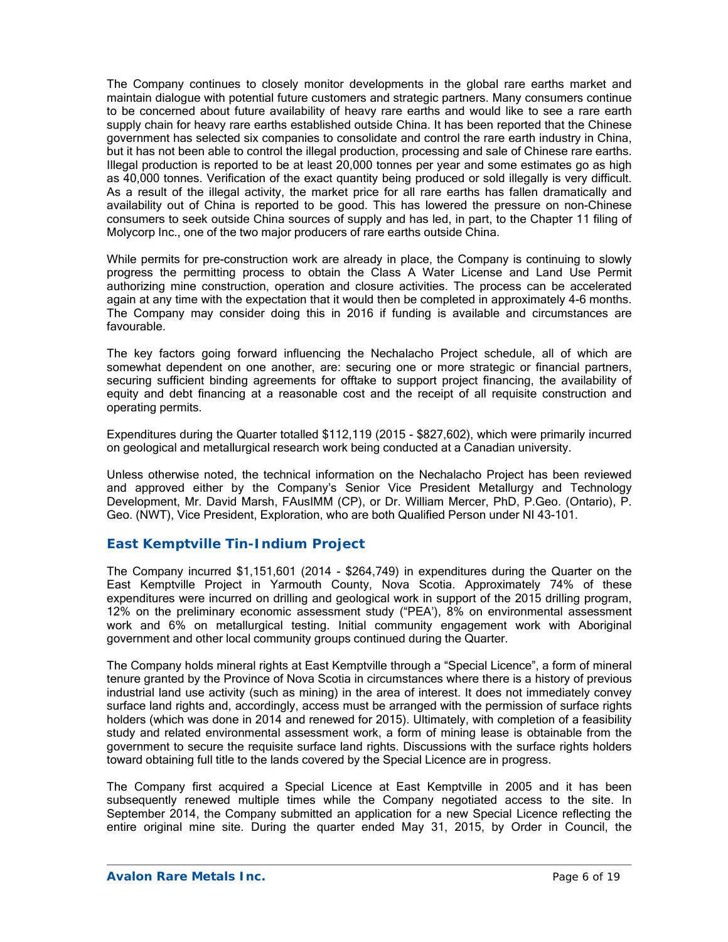The Company continues to closely monitor developments in the global rare earths market and maintain dialogue with potential future customers and strategic partners. Many consumers continue to be concerned about future availability of heavy rare earths and would like to see a rare earth supply chain for heavy rare earths established outside China. It has been reported that the Chinese government has selected six companies to consolidate and control the rare earth industry in China, but it has not been able to control the illegal production, processing and sale of Chinese rare earths. Illegal production is reported to be at least 20,000 tonnes per year and some estimates go as high as 40,000 tonnes. Verification of the exact quantity being produced or sold illegally is very difficult. As a result of the illegal activity, the market price for all rare earths has fallen dramatically and availability out of China is reported to be good. This has lowered the pressure on non-Chinese consumers to seek outside China sources of supply and has led, in part, to the Chapter 11 filing of Molycorp Inc., one of the two major producers of rare earths outside China.

While permits for pre-construction work are already in place, the Company is continuing to slowly progress the permitting process to obtain the Class A Water License and Land Use Permit authorizing mine construction, operation and closure activities. The process can be accelerated again at any time with the expectation that it would then be completed in approximately 4-6 months. The Company may consider doing this in 2016 if funding is available and circumstances are favourable.

The key factors going forward influencing the Nechalacho Project schedule, all of which are somewhat dependent on one another, are: securing one or more strategic or financial partners, securing sufficient binding agreements for offtake to support project financing, the availability of equity and debt financing at a reasonable cost and the receipt of all requisite construction and operating permits.

Expenditures during the Quarter totalled \$112,119 (2015 - \$827,602), which were primarily incurred on geological and metallurgical research work being conducted at a Canadian university.

Unless otherwise noted, the technical information on the Nechalacho Project has been reviewed and approved either by the Company's Senior Vice President Metallurgy and Technology Development, Mr. David Marsh, FAusIMM (CP), or Dr. William Mercer, PhD, P.Geo. (Ontario), P. Geo. (NWT), Vice President, Exploration, who are both Qualified Person under NI 43-101.

### *East Kemptville Tin-Indium Project*

The Company incurred \$1,151,601 (2014 - \$264,749) in expenditures during the Quarter on the East Kemptville Project in Yarmouth County, Nova Scotia. Approximately 74% of these expenditures were incurred on drilling and geological work in support of the 2015 drilling program, 12% on the preliminary economic assessment study ("PEA'), 8% on environmental assessment work and 6% on metallurgical testing. Initial community engagement work with Aboriginal government and other local community groups continued during the Quarter.

The Company holds mineral rights at East Kemptville through a "Special Licence", a form of mineral tenure granted by the Province of Nova Scotia in circumstances where there is a history of previous industrial land use activity (such as mining) in the area of interest. It does not immediately convey surface land rights and, accordingly, access must be arranged with the permission of surface rights holders (which was done in 2014 and renewed for 2015). Ultimately, with completion of a feasibility study and related environmental assessment work, a form of mining lease is obtainable from the government to secure the requisite surface land rights. Discussions with the surface rights holders toward obtaining full title to the lands covered by the Special Licence are in progress.

The Company first acquired a Special Licence at East Kemptville in 2005 and it has been subsequently renewed multiple times while the Company negotiated access to the site. In September 2014, the Company submitted an application for a new Special Licence reflecting the entire original mine site. During the quarter ended May 31, 2015, by Order in Council, the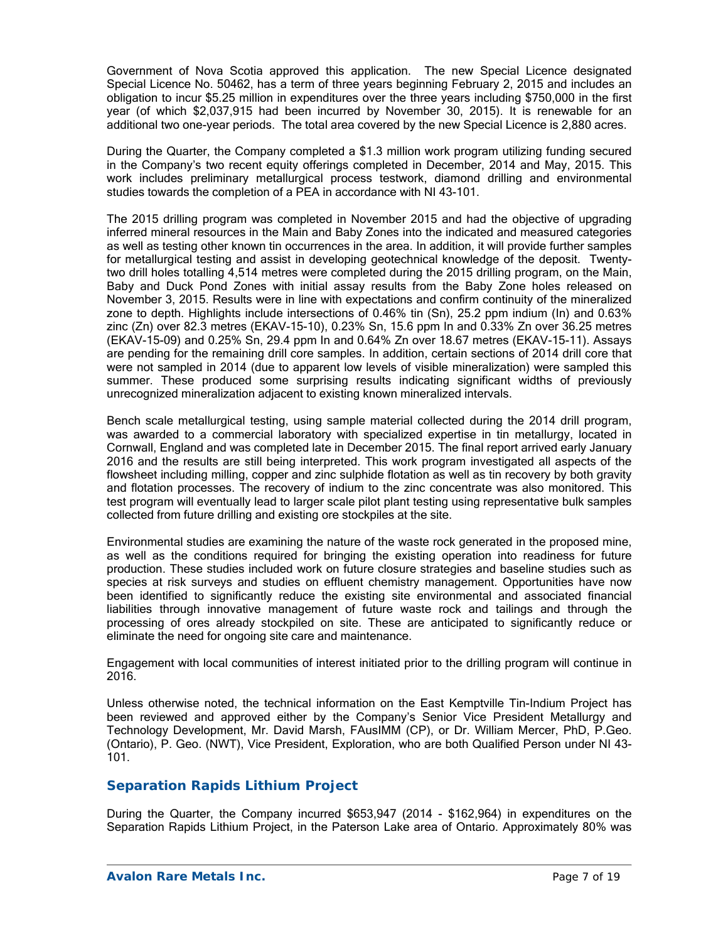Government of Nova Scotia approved this application. The new Special Licence designated Special Licence No. 50462, has a term of three years beginning February 2, 2015 and includes an obligation to incur \$5.25 million in expenditures over the three years including \$750,000 in the first year (of which \$2,037,915 had been incurred by November 30, 2015). It is renewable for an additional two one-year periods. The total area covered by the new Special Licence is 2,880 acres.

During the Quarter, the Company completed a \$1.3 million work program utilizing funding secured in the Company's two recent equity offerings completed in December, 2014 and May, 2015. This work includes preliminary metallurgical process testwork, diamond drilling and environmental studies towards the completion of a PEA in accordance with NI 43-101.

The 2015 drilling program was completed in November 2015 and had the objective of upgrading inferred mineral resources in the Main and Baby Zones into the indicated and measured categories as well as testing other known tin occurrences in the area. In addition, it will provide further samples for metallurgical testing and assist in developing geotechnical knowledge of the deposit. Twentytwo drill holes totalling 4,514 metres were completed during the 2015 drilling program, on the Main, Baby and Duck Pond Zones with initial assay results from the Baby Zone holes released on November 3, 2015. Results were in line with expectations and confirm continuity of the mineralized zone to depth. Highlights include intersections of 0.46% tin (Sn), 25.2 ppm indium (In) and 0.63% zinc (Zn) over 82.3 metres (EKAV-15-10), 0.23% Sn, 15.6 ppm In and 0.33% Zn over 36.25 metres (EKAV-15-09) and 0.25% Sn, 29.4 ppm In and 0.64% Zn over 18.67 metres (EKAV-15-11). Assays are pending for the remaining drill core samples. In addition, certain sections of 2014 drill core that were not sampled in 2014 (due to apparent low levels of visible mineralization) were sampled this summer. These produced some surprising results indicating significant widths of previously unrecognized mineralization adjacent to existing known mineralized intervals.

Bench scale metallurgical testing, using sample material collected during the 2014 drill program, was awarded to a commercial laboratory with specialized expertise in tin metallurgy, located in Cornwall, England and was completed late in December 2015. The final report arrived early January 2016 and the results are still being interpreted. This work program investigated all aspects of the flowsheet including milling, copper and zinc sulphide flotation as well as tin recovery by both gravity and flotation processes. The recovery of indium to the zinc concentrate was also monitored. This test program will eventually lead to larger scale pilot plant testing using representative bulk samples collected from future drilling and existing ore stockpiles at the site.

Environmental studies are examining the nature of the waste rock generated in the proposed mine, as well as the conditions required for bringing the existing operation into readiness for future production. These studies included work on future closure strategies and baseline studies such as species at risk surveys and studies on effluent chemistry management. Opportunities have now been identified to significantly reduce the existing site environmental and associated financial liabilities through innovative management of future waste rock and tailings and through the processing of ores already stockpiled on site. These are anticipated to significantly reduce or eliminate the need for ongoing site care and maintenance.

Engagement with local communities of interest initiated prior to the drilling program will continue in 2016.

Unless otherwise noted, the technical information on the East Kemptville Tin-Indium Project has been reviewed and approved either by the Company's Senior Vice President Metallurgy and Technology Development, Mr. David Marsh, FAusIMM (CP), or Dr. William Mercer, PhD, P.Geo. (Ontario), P. Geo. (NWT), Vice President, Exploration, who are both Qualified Person under NI 43- 101.

### *Separation Rapids Lithium Project*

During the Quarter, the Company incurred \$653,947 (2014 - \$162,964) in expenditures on the Separation Rapids Lithium Project, in the Paterson Lake area of Ontario. Approximately 80% was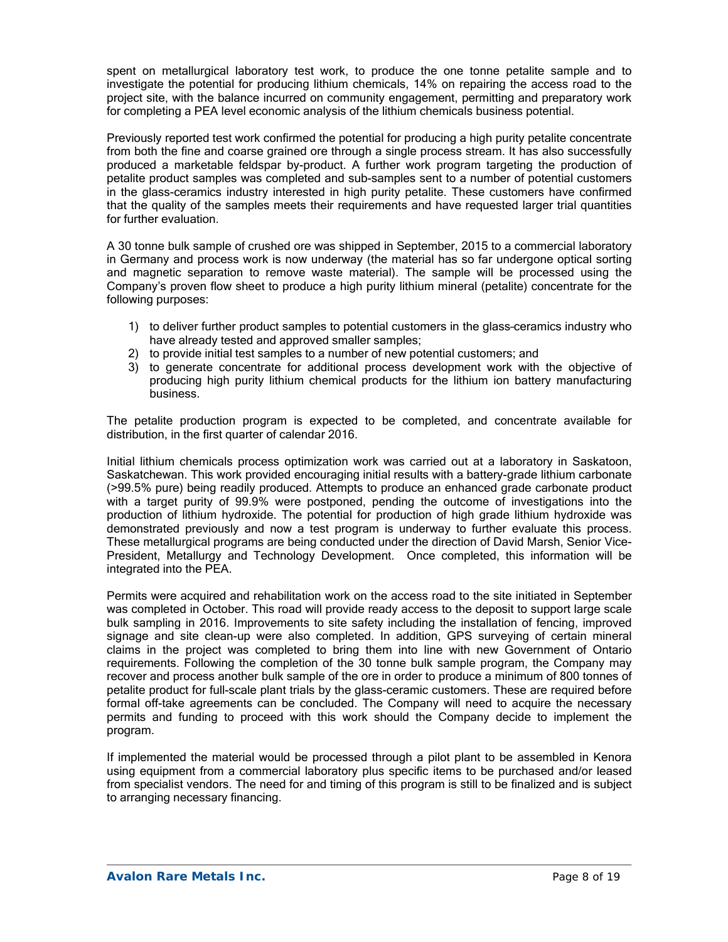spent on metallurgical laboratory test work, to produce the one tonne petalite sample and to investigate the potential for producing lithium chemicals, 14% on repairing the access road to the project site, with the balance incurred on community engagement, permitting and preparatory work for completing a PEA level economic analysis of the lithium chemicals business potential.

Previously reported test work confirmed the potential for producing a high purity petalite concentrate from both the fine and coarse grained ore through a single process stream. It has also successfully produced a marketable feldspar by-product. A further work program targeting the production of petalite product samples was completed and sub-samples sent to a number of potential customers in the glass-ceramics industry interested in high purity petalite. These customers have confirmed that the quality of the samples meets their requirements and have requested larger trial quantities for further evaluation.

A 30 tonne bulk sample of crushed ore was shipped in September, 2015 to a commercial laboratory in Germany and process work is now underway (the material has so far undergone optical sorting and magnetic separation to remove waste material). The sample will be processed using the Company's proven flow sheet to produce a high purity lithium mineral (petalite) concentrate for the following purposes:

- 1) to deliver further product samples to potential customers in the glass–ceramics industry who have already tested and approved smaller samples;
- 2) to provide initial test samples to a number of new potential customers; and
- 3) to generate concentrate for additional process development work with the objective of producing high purity lithium chemical products for the lithium ion battery manufacturing business.

The petalite production program is expected to be completed, and concentrate available for distribution, in the first quarter of calendar 2016.

Initial lithium chemicals process optimization work was carried out at a laboratory in Saskatoon, Saskatchewan. This work provided encouraging initial results with a battery-grade lithium carbonate (>99.5% pure) being readily produced. Attempts to produce an enhanced grade carbonate product with a target purity of 99.9% were postponed, pending the outcome of investigations into the production of lithium hydroxide. The potential for production of high grade lithium hydroxide was demonstrated previously and now a test program is underway to further evaluate this process. These metallurgical programs are being conducted under the direction of David Marsh, Senior Vice-President, Metallurgy and Technology Development. Once completed, this information will be integrated into the PEA.

Permits were acquired and rehabilitation work on the access road to the site initiated in September was completed in October. This road will provide ready access to the deposit to support large scale bulk sampling in 2016. Improvements to site safety including the installation of fencing, improved signage and site clean-up were also completed. In addition, GPS surveying of certain mineral claims in the project was completed to bring them into line with new Government of Ontario requirements. Following the completion of the 30 tonne bulk sample program, the Company may recover and process another bulk sample of the ore in order to produce a minimum of 800 tonnes of petalite product for full-scale plant trials by the glass-ceramic customers. These are required before formal off-take agreements can be concluded. The Company will need to acquire the necessary permits and funding to proceed with this work should the Company decide to implement the program.

If implemented the material would be processed through a pilot plant to be assembled in Kenora using equipment from a commercial laboratory plus specific items to be purchased and/or leased from specialist vendors. The need for and timing of this program is still to be finalized and is subject to arranging necessary financing.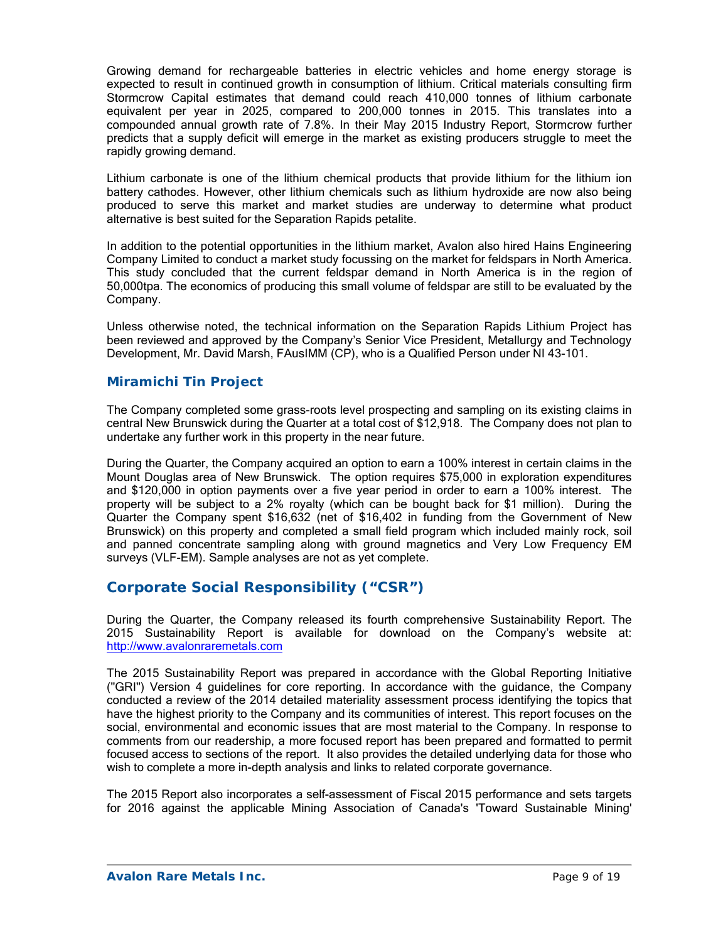Growing demand for rechargeable batteries in electric vehicles and home energy storage is expected to result in continued growth in consumption of lithium. Critical materials consulting firm Stormcrow Capital estimates that demand could reach 410,000 tonnes of lithium carbonate equivalent per year in 2025, compared to 200,000 tonnes in 2015. This translates into a compounded annual growth rate of 7.8%. In their May 2015 Industry Report, Stormcrow further predicts that a supply deficit will emerge in the market as existing producers struggle to meet the rapidly growing demand.

Lithium carbonate is one of the lithium chemical products that provide lithium for the lithium ion battery cathodes. However, other lithium chemicals such as lithium hydroxide are now also being produced to serve this market and market studies are underway to determine what product alternative is best suited for the Separation Rapids petalite.

In addition to the potential opportunities in the lithium market, Avalon also hired Hains Engineering Company Limited to conduct a market study focussing on the market for feldspars in North America. This study concluded that the current feldspar demand in North America is in the region of 50,000tpa. The economics of producing this small volume of feldspar are still to be evaluated by the Company.

Unless otherwise noted, the technical information on the Separation Rapids Lithium Project has been reviewed and approved by the Company's Senior Vice President, Metallurgy and Technology Development, Mr. David Marsh, FAusIMM (CP), who is a Qualified Person under NI 43-101.

### *Miramichi Tin Project*

The Company completed some grass-roots level prospecting and sampling on its existing claims in central New Brunswick during the Quarter at a total cost of \$12,918. The Company does not plan to undertake any further work in this property in the near future.

During the Quarter, the Company acquired an option to earn a 100% interest in certain claims in the Mount Douglas area of New Brunswick. The option requires \$75,000 in exploration expenditures and \$120,000 in option payments over a five year period in order to earn a 100% interest. The property will be subject to a 2% royalty (which can be bought back for \$1 million). During the Quarter the Company spent \$16,632 (net of \$16,402 in funding from the Government of New Brunswick) on this property and completed a small field program which included mainly rock, soil and panned concentrate sampling along with ground magnetics and Very Low Frequency EM surveys (VLF-EM). Sample analyses are not as yet complete.

# **Corporate Social Responsibility ("CSR")**

During the Quarter, the Company released its fourth comprehensive Sustainability Report. The 2015 Sustainability Report is available for download on the Company's website at: http://www.avalonraremetals.com

The 2015 Sustainability Report was prepared in accordance with the Global Reporting Initiative ("GRI") Version 4 guidelines for core reporting. In accordance with the guidance, the Company conducted a review of the 2014 detailed materiality assessment process identifying the topics that have the highest priority to the Company and its communities of interest. This report focuses on the social, environmental and economic issues that are most material to the Company. In response to comments from our readership, a more focused report has been prepared and formatted to permit focused access to sections of the report. It also provides the detailed underlying data for those who wish to complete a more in-depth analysis and links to related corporate governance.

The 2015 Report also incorporates a self-assessment of Fiscal 2015 performance and sets targets for 2016 against the applicable Mining Association of Canada's 'Toward Sustainable Mining'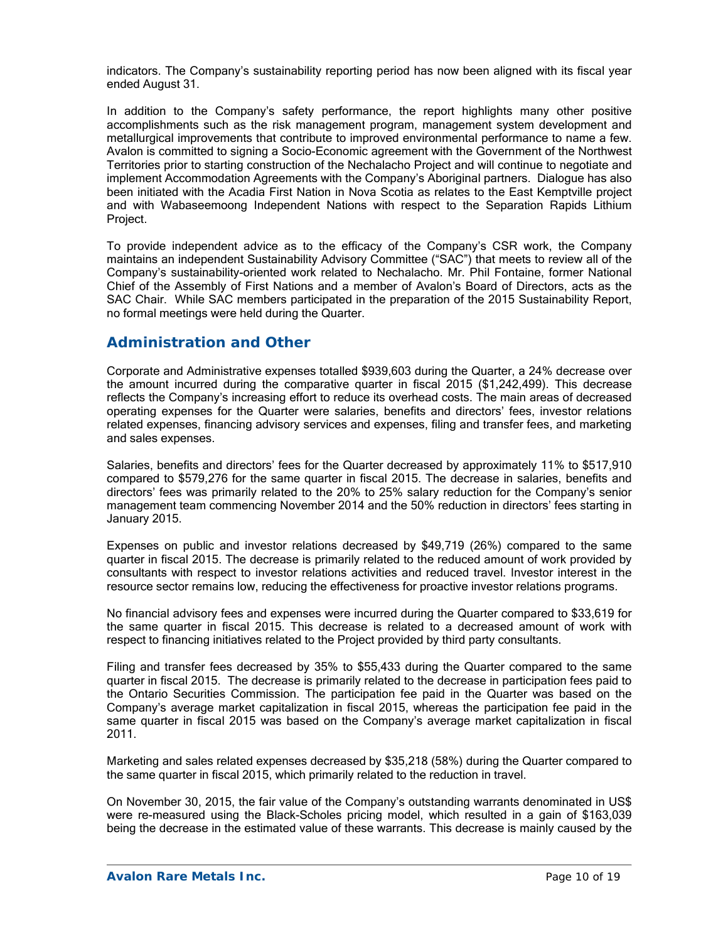indicators. The Company's sustainability reporting period has now been aligned with its fiscal year ended August 31.

In addition to the Company's safety performance, the report highlights many other positive accomplishments such as the risk management program, management system development and metallurgical improvements that contribute to improved environmental performance to name a few. Avalon is committed to signing a Socio-Economic agreement with the Government of the Northwest Territories prior to starting construction of the Nechalacho Project and will continue to negotiate and implement Accommodation Agreements with the Company's Aboriginal partners. Dialogue has also been initiated with the Acadia First Nation in Nova Scotia as relates to the East Kemptville project and with Wabaseemoong Independent Nations with respect to the Separation Rapids Lithium Project.

To provide independent advice as to the efficacy of the Company's CSR work, the Company maintains an independent Sustainability Advisory Committee ("SAC") that meets to review all of the Company's sustainability-oriented work related to Nechalacho. Mr. Phil Fontaine, former National Chief of the Assembly of First Nations and a member of Avalon's Board of Directors, acts as the SAC Chair. While SAC members participated in the preparation of the 2015 Sustainability Report, no formal meetings were held during the Quarter.

## **Administration and Other**

Corporate and Administrative expenses totalled \$939,603 during the Quarter, a 24% decrease over the amount incurred during the comparative quarter in fiscal 2015 (\$1,242,499). This decrease reflects the Company's increasing effort to reduce its overhead costs. The main areas of decreased operating expenses for the Quarter were salaries, benefits and directors' fees, investor relations related expenses, financing advisory services and expenses, filing and transfer fees, and marketing and sales expenses.

Salaries, benefits and directors' fees for the Quarter decreased by approximately 11% to \$517,910 compared to \$579,276 for the same quarter in fiscal 2015. The decrease in salaries, benefits and directors' fees was primarily related to the 20% to 25% salary reduction for the Company's senior management team commencing November 2014 and the 50% reduction in directors' fees starting in January 2015.

Expenses on public and investor relations decreased by \$49,719 (26%) compared to the same quarter in fiscal 2015. The decrease is primarily related to the reduced amount of work provided by consultants with respect to investor relations activities and reduced travel. Investor interest in the resource sector remains low, reducing the effectiveness for proactive investor relations programs.

No financial advisory fees and expenses were incurred during the Quarter compared to \$33,619 for the same quarter in fiscal 2015. This decrease is related to a decreased amount of work with respect to financing initiatives related to the Project provided by third party consultants.

Filing and transfer fees decreased by 35% to \$55,433 during the Quarter compared to the same quarter in fiscal 2015. The decrease is primarily related to the decrease in participation fees paid to the Ontario Securities Commission. The participation fee paid in the Quarter was based on the Company's average market capitalization in fiscal 2015, whereas the participation fee paid in the same quarter in fiscal 2015 was based on the Company's average market capitalization in fiscal 2011.

Marketing and sales related expenses decreased by \$35,218 (58%) during the Quarter compared to the same quarter in fiscal 2015, which primarily related to the reduction in travel.

On November 30, 2015, the fair value of the Company's outstanding warrants denominated in US\$ were re-measured using the Black-Scholes pricing model, which resulted in a gain of \$163,039 being the decrease in the estimated value of these warrants. This decrease is mainly caused by the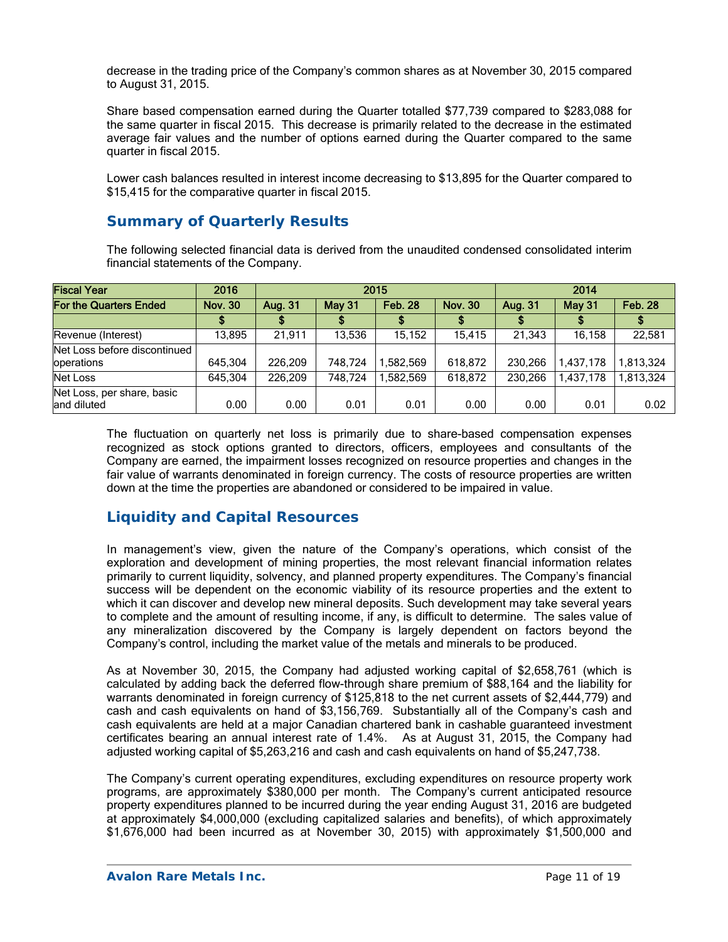decrease in the trading price of the Company's common shares as at November 30, 2015 compared to August 31, 2015.

Share based compensation earned during the Quarter totalled \$77,739 compared to \$283,088 for the same quarter in fiscal 2015. This decrease is primarily related to the decrease in the estimated average fair values and the number of options earned during the Quarter compared to the same quarter in fiscal 2015.

Lower cash balances resulted in interest income decreasing to \$13,895 for the Quarter compared to \$15,415 for the comparative quarter in fiscal 2015.

## **Summary of Quarterly Results**

The following selected financial data is derived from the unaudited condensed consolidated interim financial statements of the Company.

| <b>Fiscal Year</b>                         | 2016           | 2015    |               |                | 2014           |         |           |                |
|--------------------------------------------|----------------|---------|---------------|----------------|----------------|---------|-----------|----------------|
| For the Quarters Ended                     | <b>Nov. 30</b> | Aug. 31 | <b>May 31</b> | <b>Feb. 28</b> | <b>Nov. 30</b> | Aug. 31 | May 31    | <b>Feb. 28</b> |
|                                            |                |         |               |                |                |         |           |                |
| Revenue (Interest)                         | 13,895         | 21.911  | 13,536        | 15.152         | 15.415         | 21.343  | 16.158    | 22,581         |
| Net Loss before discontinued<br>operations | 645,304        | 226.209 | 748.724       | ,582,569       | 618,872        | 230,266 | 1,437,178 | 1.813.324      |
| Net Loss                                   | 645,304        | 226,209 | 748,724       | ,582,569       | 618,872        | 230,266 | 1,437,178 | 1.813.324      |
| Net Loss, per share, basic<br>land diluted | 0.00           | 0.00    | 0.01          | 0.01           | 0.00           | 0.00    | 0.01      | 0.02           |

The fluctuation on quarterly net loss is primarily due to share-based compensation expenses recognized as stock options granted to directors, officers, employees and consultants of the Company are earned, the impairment losses recognized on resource properties and changes in the fair value of warrants denominated in foreign currency. The costs of resource properties are written down at the time the properties are abandoned or considered to be impaired in value.

# **Liquidity and Capital Resources**

In management's view, given the nature of the Company's operations, which consist of the exploration and development of mining properties, the most relevant financial information relates primarily to current liquidity, solvency, and planned property expenditures. The Company's financial success will be dependent on the economic viability of its resource properties and the extent to which it can discover and develop new mineral deposits. Such development may take several years to complete and the amount of resulting income, if any, is difficult to determine. The sales value of any mineralization discovered by the Company is largely dependent on factors beyond the Company's control, including the market value of the metals and minerals to be produced.

As at November 30, 2015, the Company had adjusted working capital of \$2,658,761 (which is calculated by adding back the deferred flow-through share premium of \$88,164 and the liability for warrants denominated in foreign currency of \$125,818 to the net current assets of \$2,444,779) and cash and cash equivalents on hand of \$3,156,769. Substantially all of the Company's cash and cash equivalents are held at a major Canadian chartered bank in cashable guaranteed investment certificates bearing an annual interest rate of 1.4%. As at August 31, 2015, the Company had adjusted working capital of \$5,263,216 and cash and cash equivalents on hand of \$5,247,738.

The Company's current operating expenditures, excluding expenditures on resource property work programs, are approximately \$380,000 per month. The Company's current anticipated resource property expenditures planned to be incurred during the year ending August 31, 2016 are budgeted at approximately \$4,000,000 (excluding capitalized salaries and benefits), of which approximately \$1,676,000 had been incurred as at November 30, 2015) with approximately \$1,500,000 and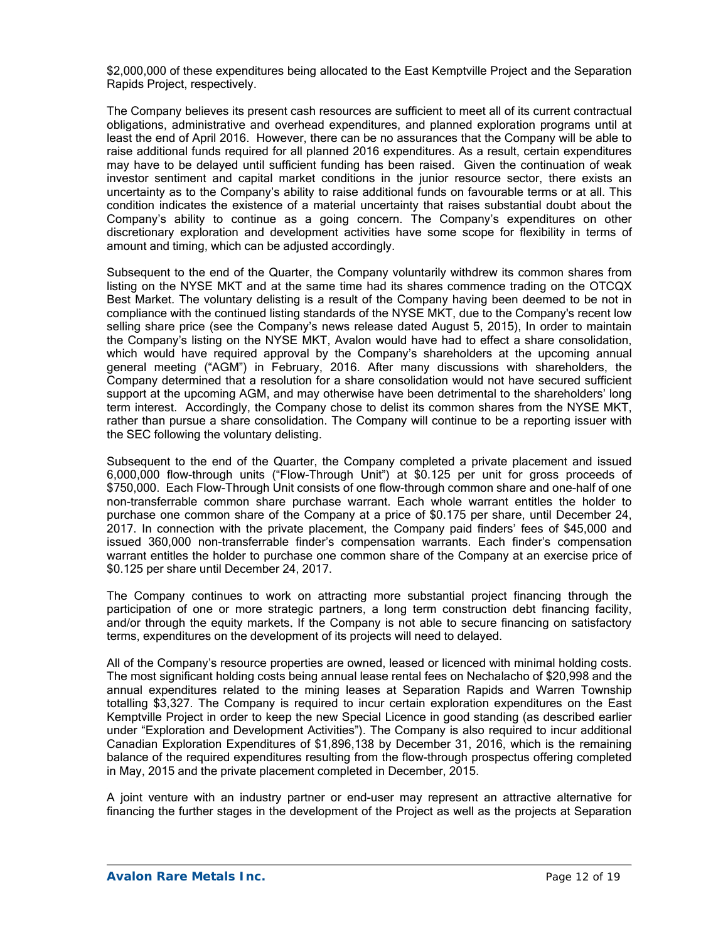\$2,000,000 of these expenditures being allocated to the East Kemptville Project and the Separation Rapids Project, respectively.

The Company believes its present cash resources are sufficient to meet all of its current contractual obligations, administrative and overhead expenditures, and planned exploration programs until at least the end of April 2016. However, there can be no assurances that the Company will be able to raise additional funds required for all planned 2016 expenditures. As a result, certain expenditures may have to be delayed until sufficient funding has been raised. Given the continuation of weak investor sentiment and capital market conditions in the junior resource sector, there exists an uncertainty as to the Company's ability to raise additional funds on favourable terms or at all. This condition indicates the existence of a material uncertainty that raises substantial doubt about the Company's ability to continue as a going concern. The Company's expenditures on other discretionary exploration and development activities have some scope for flexibility in terms of amount and timing, which can be adjusted accordingly.

Subsequent to the end of the Quarter, the Company voluntarily withdrew its common shares from listing on the NYSE MKT and at the same time had its shares commence trading on the OTCQX Best Market. The voluntary delisting is a result of the Company having been deemed to be not in compliance with the continued listing standards of the NYSE MKT, due to the Company's recent low selling share price (see the Company's news release dated August 5, 2015), In order to maintain the Company's listing on the NYSE MKT, Avalon would have had to effect a share consolidation, which would have required approval by the Company's shareholders at the upcoming annual general meeting ("AGM") in February, 2016. After many discussions with shareholders, the Company determined that a resolution for a share consolidation would not have secured sufficient support at the upcoming AGM, and may otherwise have been detrimental to the shareholders' long term interest. Accordingly, the Company chose to delist its common shares from the NYSE MKT, rather than pursue a share consolidation. The Company will continue to be a reporting issuer with the SEC following the voluntary delisting.

Subsequent to the end of the Quarter, the Company completed a private placement and issued 6,000,000 flow-through units ("Flow-Through Unit") at \$0.125 per unit for gross proceeds of \$750,000. Each Flow-Through Unit consists of one flow-through common share and one-half of one non-transferrable common share purchase warrant. Each whole warrant entitles the holder to purchase one common share of the Company at a price of \$0.175 per share, until December 24, 2017. In connection with the private placement, the Company paid finders' fees of \$45,000 and issued 360,000 non-transferrable finder's compensation warrants. Each finder's compensation warrant entitles the holder to purchase one common share of the Company at an exercise price of \$0.125 per share until December 24, 2017.

The Company continues to work on attracting more substantial project financing through the participation of one or more strategic partners, a long term construction debt financing facility, and/or through the equity markets. If the Company is not able to secure financing on satisfactory terms, expenditures on the development of its projects will need to delayed.

All of the Company's resource properties are owned, leased or licenced with minimal holding costs. The most significant holding costs being annual lease rental fees on Nechalacho of \$20,998 and the annual expenditures related to the mining leases at Separation Rapids and Warren Township totalling \$3,327. The Company is required to incur certain exploration expenditures on the East Kemptville Project in order to keep the new Special Licence in good standing (as described earlier under "Exploration and Development Activities"). The Company is also required to incur additional Canadian Exploration Expenditures of \$1,896,138 by December 31, 2016, which is the remaining balance of the required expenditures resulting from the flow-through prospectus offering completed in May, 2015 and the private placement completed in December, 2015.

A joint venture with an industry partner or end-user may represent an attractive alternative for financing the further stages in the development of the Project as well as the projects at Separation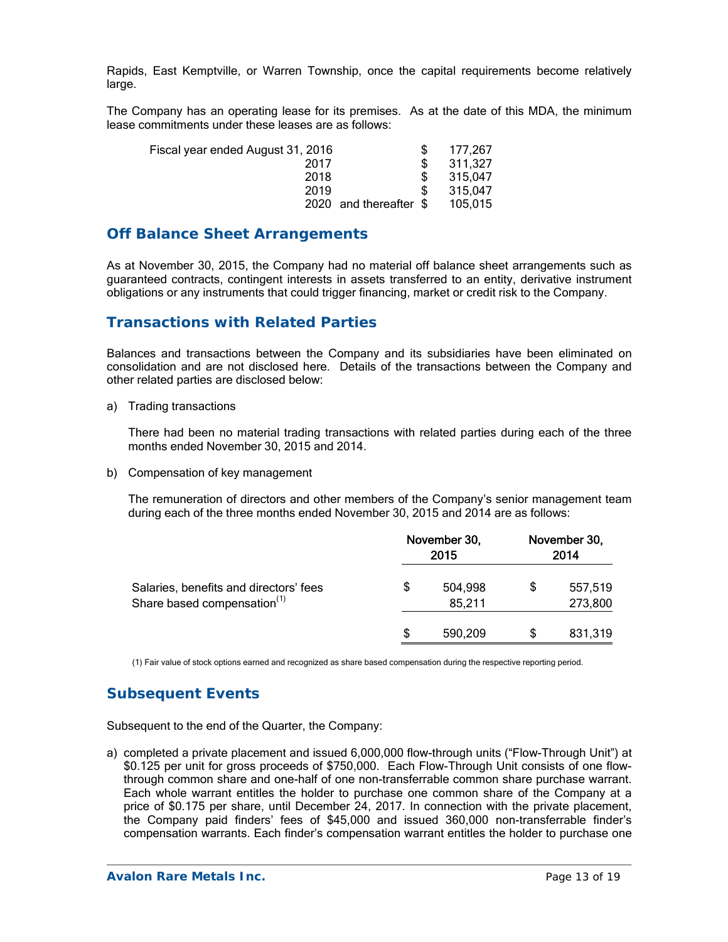Rapids, East Kemptville, or Warren Township, once the capital requirements become relatively large.

The Company has an operating lease for its premises. As at the date of this MDA, the minimum lease commitments under these leases are as follows:

| Fiscal year ended August 31, 2016 | 177.267 |
|-----------------------------------|---------|
| 2017                              | 311,327 |
| 2018                              | 315,047 |
| 2019                              | 315.047 |
| 2020 and thereafter \$            | 105.015 |

### **Off Balance Sheet Arrangements**

As at November 30, 2015, the Company had no material off balance sheet arrangements such as guaranteed contracts, contingent interests in assets transferred to an entity, derivative instrument obligations or any instruments that could trigger financing, market or credit risk to the Company.

### **Transactions with Related Parties**

Balances and transactions between the Company and its subsidiaries have been eliminated on consolidation and are not disclosed here. Details of the transactions between the Company and other related parties are disclosed below:

a) Trading transactions

There had been no material trading transactions with related parties during each of the three months ended November 30, 2015 and 2014.

b) Compensation of key management

The remuneration of directors and other members of the Company's senior management team during each of the three months ended November 30, 2015 and 2014 are as follows:

|                                                                                   | November 30,<br>2015 |                   | November 30,<br>2014 |                    |
|-----------------------------------------------------------------------------------|----------------------|-------------------|----------------------|--------------------|
| Salaries, benefits and directors' fees<br>Share based compensation <sup>(1)</sup> | \$                   | 504,998<br>85,211 | \$                   | 557,519<br>273,800 |
|                                                                                   | S                    | 590.209           | S                    | 831,319            |

(1) Fair value of stock options earned and recognized as share based compensation during the respective reporting period.

## **Subsequent Events**

Subsequent to the end of the Quarter, the Company:

a) completed a private placement and issued 6,000,000 flow-through units ("Flow-Through Unit") at \$0.125 per unit for gross proceeds of \$750,000. Each Flow-Through Unit consists of one flowthrough common share and one-half of one non-transferrable common share purchase warrant. Each whole warrant entitles the holder to purchase one common share of the Company at a price of \$0.175 per share, until December 24, 2017. In connection with the private placement, the Company paid finders' fees of \$45,000 and issued 360,000 non-transferrable finder's compensation warrants. Each finder's compensation warrant entitles the holder to purchase one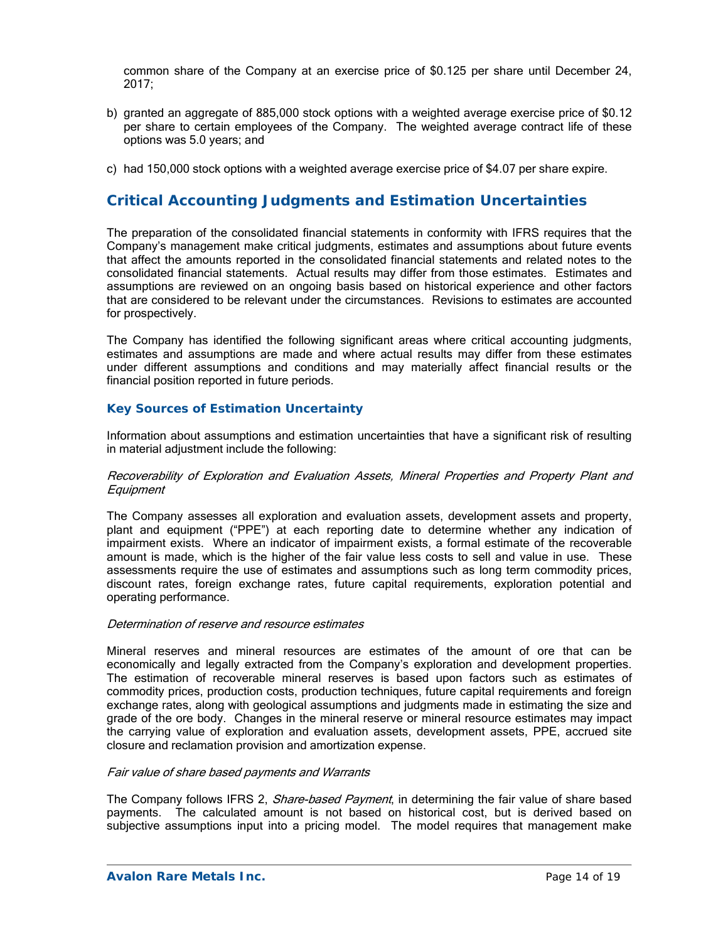common share of the Company at an exercise price of \$0.125 per share until December 24, 2017;

- b) granted an aggregate of 885,000 stock options with a weighted average exercise price of \$0.12 per share to certain employees of the Company. The weighted average contract life of these options was 5.0 years; and
- c) had 150,000 stock options with a weighted average exercise price of \$4.07 per share expire.

## **Critical Accounting Judgments and Estimation Uncertainties**

The preparation of the consolidated financial statements in conformity with IFRS requires that the Company's management make critical judgments, estimates and assumptions about future events that affect the amounts reported in the consolidated financial statements and related notes to the consolidated financial statements. Actual results may differ from those estimates. Estimates and assumptions are reviewed on an ongoing basis based on historical experience and other factors that are considered to be relevant under the circumstances. Revisions to estimates are accounted for prospectively.

The Company has identified the following significant areas where critical accounting judgments, estimates and assumptions are made and where actual results may differ from these estimates under different assumptions and conditions and may materially affect financial results or the financial position reported in future periods.

#### *Key Sources of Estimation Uncertainty*

Information about assumptions and estimation uncertainties that have a significant risk of resulting in material adjustment include the following:

#### Recoverability of Exploration and Evaluation Assets, Mineral Properties and Property Plant and **Equipment**

The Company assesses all exploration and evaluation assets, development assets and property, plant and equipment ("PPE") at each reporting date to determine whether any indication of impairment exists. Where an indicator of impairment exists, a formal estimate of the recoverable amount is made, which is the higher of the fair value less costs to sell and value in use. These assessments require the use of estimates and assumptions such as long term commodity prices, discount rates, foreign exchange rates, future capital requirements, exploration potential and operating performance.

#### Determination of reserve and resource estimates

Mineral reserves and mineral resources are estimates of the amount of ore that can be economically and legally extracted from the Company's exploration and development properties. The estimation of recoverable mineral reserves is based upon factors such as estimates of commodity prices, production costs, production techniques, future capital requirements and foreign exchange rates, along with geological assumptions and judgments made in estimating the size and grade of the ore body. Changes in the mineral reserve or mineral resource estimates may impact the carrying value of exploration and evaluation assets, development assets, PPE, accrued site closure and reclamation provision and amortization expense.

#### Fair value of share based payments and Warrants

The Company follows IFRS 2, Share-based Payment, in determining the fair value of share based payments. The calculated amount is not based on historical cost, but is derived based on subjective assumptions input into a pricing model. The model requires that management make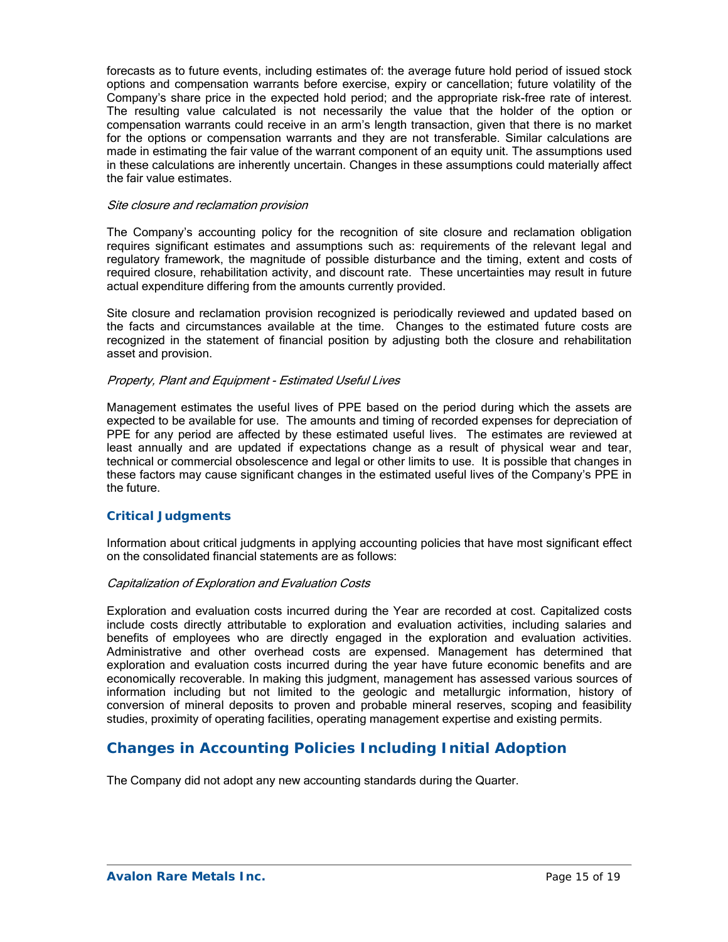forecasts as to future events, including estimates of: the average future hold period of issued stock options and compensation warrants before exercise, expiry or cancellation; future volatility of the Company's share price in the expected hold period; and the appropriate risk-free rate of interest. The resulting value calculated is not necessarily the value that the holder of the option or compensation warrants could receive in an arm's length transaction, given that there is no market for the options or compensation warrants and they are not transferable. Similar calculations are made in estimating the fair value of the warrant component of an equity unit. The assumptions used in these calculations are inherently uncertain. Changes in these assumptions could materially affect the fair value estimates.

#### Site closure and reclamation provision

The Company's accounting policy for the recognition of site closure and reclamation obligation requires significant estimates and assumptions such as: requirements of the relevant legal and regulatory framework, the magnitude of possible disturbance and the timing, extent and costs of required closure, rehabilitation activity, and discount rate. These uncertainties may result in future actual expenditure differing from the amounts currently provided.

Site closure and reclamation provision recognized is periodically reviewed and updated based on the facts and circumstances available at the time. Changes to the estimated future costs are recognized in the statement of financial position by adjusting both the closure and rehabilitation asset and provision.

#### Property, Plant and Equipment - Estimated Useful Lives

Management estimates the useful lives of PPE based on the period during which the assets are expected to be available for use. The amounts and timing of recorded expenses for depreciation of PPE for any period are affected by these estimated useful lives. The estimates are reviewed at least annually and are updated if expectations change as a result of physical wear and tear, technical or commercial obsolescence and legal or other limits to use. It is possible that changes in these factors may cause significant changes in the estimated useful lives of the Company's PPE in the future.

#### *Critical Judgments*

Information about critical judgments in applying accounting policies that have most significant effect on the consolidated financial statements are as follows:

#### Capitalization of Exploration and Evaluation Costs

Exploration and evaluation costs incurred during the Year are recorded at cost. Capitalized costs include costs directly attributable to exploration and evaluation activities, including salaries and benefits of employees who are directly engaged in the exploration and evaluation activities. Administrative and other overhead costs are expensed. Management has determined that exploration and evaluation costs incurred during the year have future economic benefits and are economically recoverable. In making this judgment, management has assessed various sources of information including but not limited to the geologic and metallurgic information, history of conversion of mineral deposits to proven and probable mineral reserves, scoping and feasibility studies, proximity of operating facilities, operating management expertise and existing permits.

## **Changes in Accounting Policies Including Initial Adoption**

The Company did not adopt any new accounting standards during the Quarter.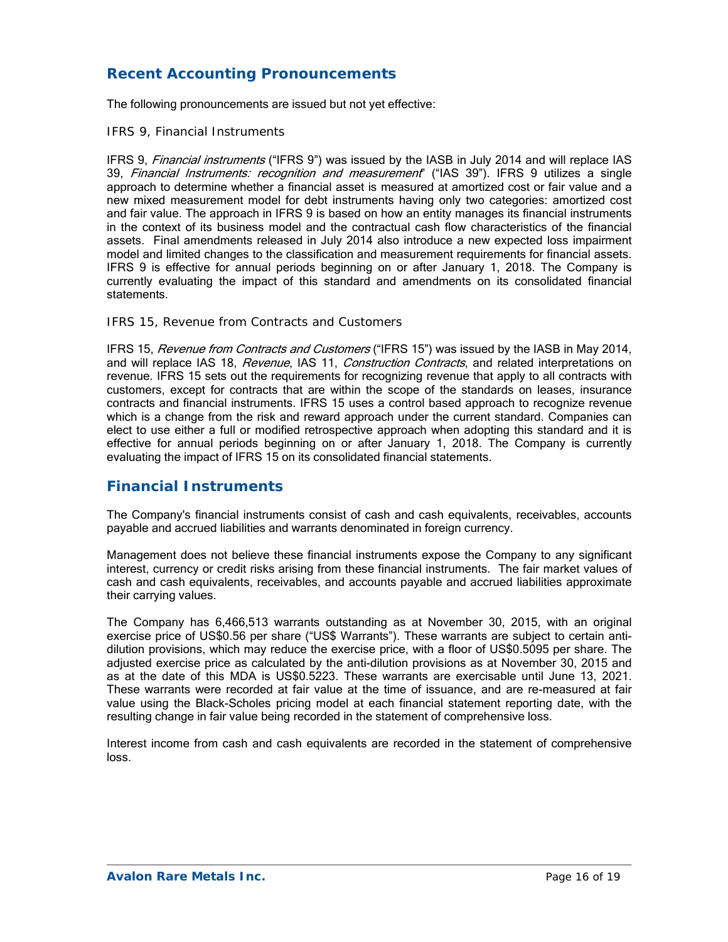# **Recent Accounting Pronouncements**

The following pronouncements are issued but not yet effective:

#### *IFRS 9, Financial Instruments*

IFRS 9, Financial instruments ("IFRS 9") was issued by the IASB in July 2014 and will replace IAS 39, Financial Instruments: recognition and measurement" ("IAS 39"). IFRS 9 utilizes a single approach to determine whether a financial asset is measured at amortized cost or fair value and a new mixed measurement model for debt instruments having only two categories: amortized cost and fair value. The approach in IFRS 9 is based on how an entity manages its financial instruments in the context of its business model and the contractual cash flow characteristics of the financial assets. Final amendments released in July 2014 also introduce a new expected loss impairment model and limited changes to the classification and measurement requirements for financial assets. IFRS 9 is effective for annual periods beginning on or after January 1, 2018. The Company is currently evaluating the impact of this standard and amendments on its consolidated financial statements.

#### *IFRS 15, Revenue from Contracts and Customers*

IFRS 15, Revenue from Contracts and Customers ("IFRS 15") was issued by the IASB in May 2014, and will replace IAS 18, Revenue, IAS 11, Construction Contracts, and related interpretations on revenue. IFRS 15 sets out the requirements for recognizing revenue that apply to all contracts with customers, except for contracts that are within the scope of the standards on leases, insurance contracts and financial instruments. IFRS 15 uses a control based approach to recognize revenue which is a change from the risk and reward approach under the current standard. Companies can elect to use either a full or modified retrospective approach when adopting this standard and it is effective for annual periods beginning on or after January 1, 2018. The Company is currently evaluating the impact of IFRS 15 on its consolidated financial statements.

## **Financial Instruments**

The Company's financial instruments consist of cash and cash equivalents, receivables, accounts payable and accrued liabilities and warrants denominated in foreign currency.

Management does not believe these financial instruments expose the Company to any significant interest, currency or credit risks arising from these financial instruments. The fair market values of cash and cash equivalents, receivables, and accounts payable and accrued liabilities approximate their carrying values.

The Company has 6,466,513 warrants outstanding as at November 30, 2015, with an original exercise price of US\$0.56 per share ("US\$ Warrants"). These warrants are subject to certain antidilution provisions, which may reduce the exercise price, with a floor of US\$0.5095 per share. The adjusted exercise price as calculated by the anti-dilution provisions as at November 30, 2015 and as at the date of this MDA is US\$0.5223. These warrants are exercisable until June 13, 2021. These warrants were recorded at fair value at the time of issuance, and are re-measured at fair value using the Black-Scholes pricing model at each financial statement reporting date, with the resulting change in fair value being recorded in the statement of comprehensive loss.

Interest income from cash and cash equivalents are recorded in the statement of comprehensive loss.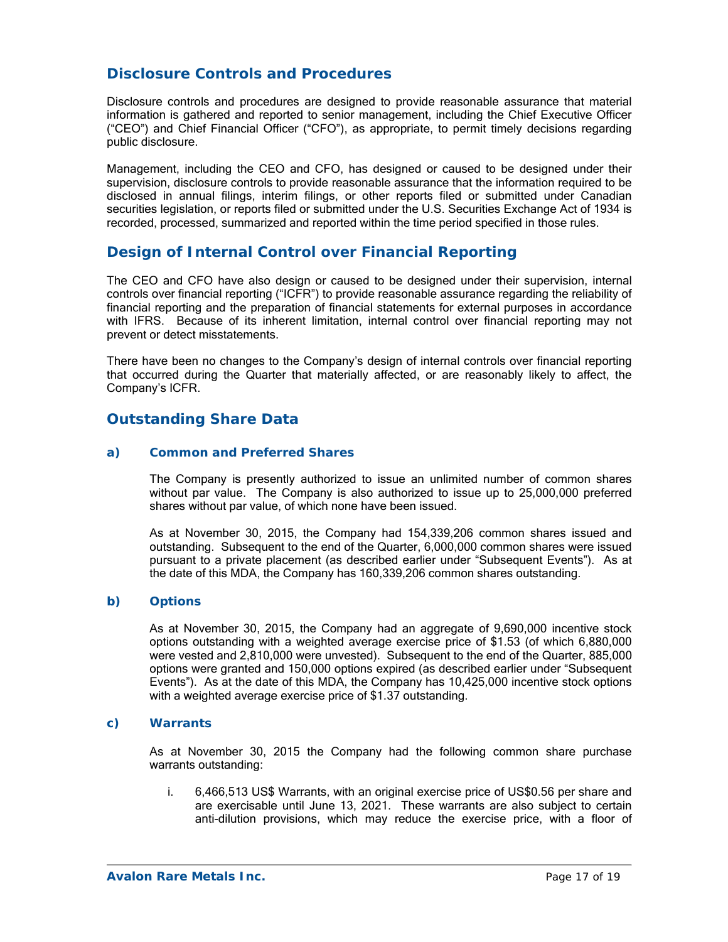## **Disclosure Controls and Procedures**

Disclosure controls and procedures are designed to provide reasonable assurance that material information is gathered and reported to senior management, including the Chief Executive Officer ("CEO") and Chief Financial Officer ("CFO"), as appropriate, to permit timely decisions regarding public disclosure.

Management, including the CEO and CFO, has designed or caused to be designed under their supervision, disclosure controls to provide reasonable assurance that the information required to be disclosed in annual filings, interim filings, or other reports filed or submitted under Canadian securities legislation, or reports filed or submitted under the U.S. Securities Exchange Act of 1934 is recorded, processed, summarized and reported within the time period specified in those rules.

## **Design of Internal Control over Financial Reporting**

The CEO and CFO have also design or caused to be designed under their supervision, internal controls over financial reporting ("ICFR") to provide reasonable assurance regarding the reliability of financial reporting and the preparation of financial statements for external purposes in accordance with IFRS. Because of its inherent limitation, internal control over financial reporting may not prevent or detect misstatements.

There have been no changes to the Company's design of internal controls over financial reporting that occurred during the Quarter that materially affected, or are reasonably likely to affect, the Company's ICFR.

## **Outstanding Share Data**

#### *a) Common and Preferred Shares*

The Company is presently authorized to issue an unlimited number of common shares without par value. The Company is also authorized to issue up to 25,000,000 preferred shares without par value, of which none have been issued.

As at November 30, 2015, the Company had 154,339,206 common shares issued and outstanding. Subsequent to the end of the Quarter, 6,000,000 common shares were issued pursuant to a private placement (as described earlier under "Subsequent Events"). As at the date of this MDA, the Company has 160,339,206 common shares outstanding.

#### *b) Options*

As at November 30, 2015, the Company had an aggregate of 9,690,000 incentive stock options outstanding with a weighted average exercise price of \$1.53 (of which 6,880,000 were vested and 2,810,000 were unvested). Subsequent to the end of the Quarter, 885,000 options were granted and 150,000 options expired (as described earlier under "Subsequent Events"). As at the date of this MDA, the Company has 10,425,000 incentive stock options with a weighted average exercise price of \$1.37 outstanding.

#### *c) Warrants*

As at November 30, 2015 the Company had the following common share purchase warrants outstanding:

i. 6,466,513 US\$ Warrants, with an original exercise price of US\$0.56 per share and are exercisable until June 13, 2021. These warrants are also subject to certain anti-dilution provisions, which may reduce the exercise price, with a floor of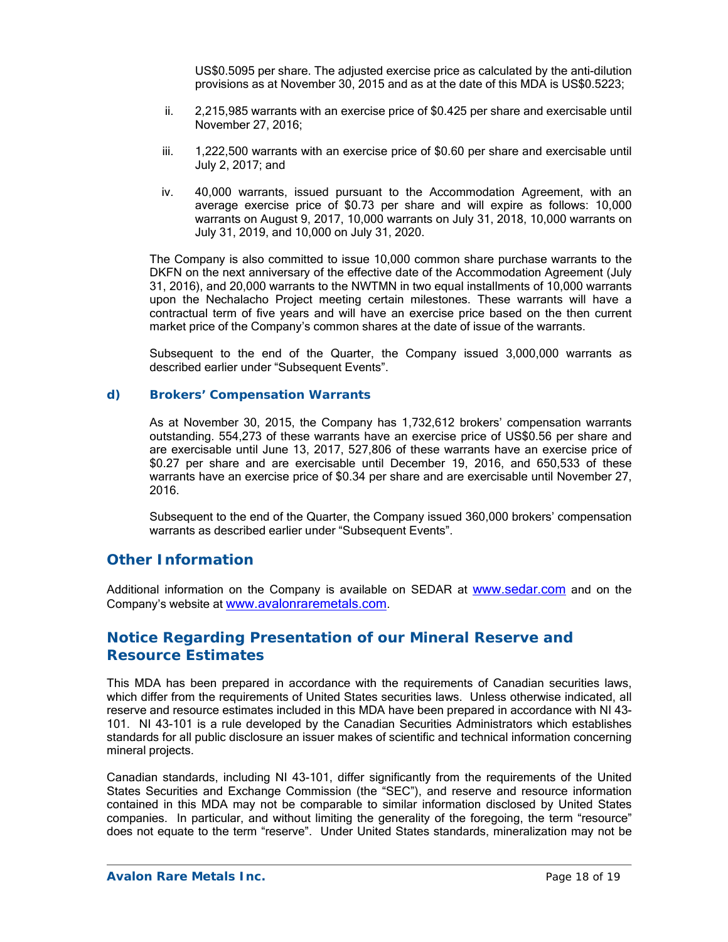US\$0.5095 per share. The adjusted exercise price as calculated by the anti-dilution provisions as at November 30, 2015 and as at the date of this MDA is US\$0.5223;

- ii. 2,215,985 warrants with an exercise price of \$0.425 per share and exercisable until November 27, 2016;
- iii. 1,222,500 warrants with an exercise price of \$0.60 per share and exercisable until July 2, 2017; and
- iv. 40,000 warrants, issued pursuant to the Accommodation Agreement, with an average exercise price of \$0.73 per share and will expire as follows: 10,000 warrants on August 9, 2017, 10,000 warrants on July 31, 2018, 10,000 warrants on July 31, 2019, and 10,000 on July 31, 2020.

The Company is also committed to issue 10,000 common share purchase warrants to the DKFN on the next anniversary of the effective date of the Accommodation Agreement (July 31, 2016), and 20,000 warrants to the NWTMN in two equal installments of 10,000 warrants upon the Nechalacho Project meeting certain milestones. These warrants will have a contractual term of five years and will have an exercise price based on the then current market price of the Company's common shares at the date of issue of the warrants.

Subsequent to the end of the Quarter, the Company issued 3,000,000 warrants as described earlier under "Subsequent Events".

#### *d) Brokers' Compensation Warrants*

As at November 30, 2015, the Company has 1,732,612 brokers' compensation warrants outstanding. 554,273 of these warrants have an exercise price of US\$0.56 per share and are exercisable until June 13, 2017, 527,806 of these warrants have an exercise price of \$0.27 per share and are exercisable until December 19, 2016, and 650,533 of these warrants have an exercise price of \$0.34 per share and are exercisable until November 27, 2016.

Subsequent to the end of the Quarter, the Company issued 360,000 brokers' compensation warrants as described earlier under "Subsequent Events".

### **Other Information**

Additional information on the Company is available on SEDAR at www.sedar.com and on the Company's website at www.avalonraremetals.com.

### **Notice Regarding Presentation of our Mineral Reserve and Resource Estimates**

This MDA has been prepared in accordance with the requirements of Canadian securities laws, which differ from the requirements of United States securities laws. Unless otherwise indicated, all reserve and resource estimates included in this MDA have been prepared in accordance with NI 43- 101. NI 43-101 is a rule developed by the Canadian Securities Administrators which establishes standards for all public disclosure an issuer makes of scientific and technical information concerning mineral projects.

Canadian standards, including NI 43-101, differ significantly from the requirements of the United States Securities and Exchange Commission (the "SEC"), and reserve and resource information contained in this MDA may not be comparable to similar information disclosed by United States companies. In particular, and without limiting the generality of the foregoing, the term "resource" does not equate to the term "reserve". Under United States standards, mineralization may not be